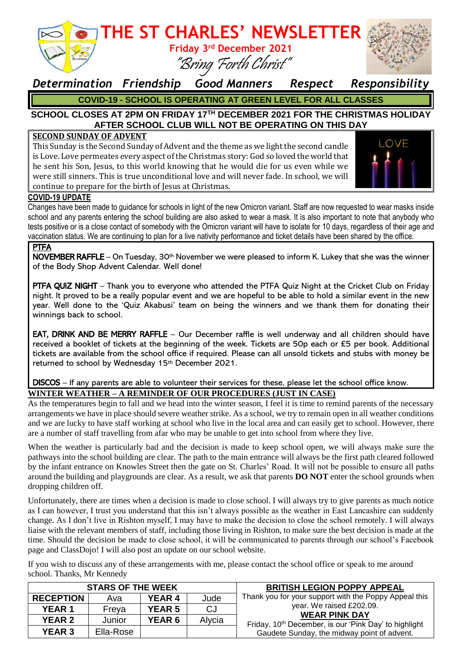

### **THE ST CHARLES' NEWSLETTER Friday 3 rd December 2021**

## *Determination Friendship Good Manners Respect Responsibility*

"Bring Forth Christ"

**COVID-19 - SCHOOL IS OPERATING AT GREEN LEVEL FOR ALL CLASSES**

#### **SCHOOL CLOSES AT 2PM ON FRIDAY 17TH DECEMBER 2021 FOR THE CHRISTMAS HOLIDAY AFTER SCHOOL CLUB WILL NOT BE OPERATING ON THIS DAY**

#### **SECOND SUNDAY OF ADVENT**

This Sunday is the Second Sunday of Advent and the theme as we light the second candle is Love. Love permeates every aspect of the Christmas story: God so loved the world that he sent his Son, Jesus, to this world knowing that he would die for us even while we were still sinners. This is true unconditional love and will never fade. In school, we will continue to prepare for the birth of Jesus at Christmas.



#### **COVID-19 UPDATE**

Changes have been made to guidance for schools in light of the new Omicron variant. Staff are now requested to wear masks inside school and any parents entering the school building are also asked to wear a mask. It is also important to note that anybody who tests positive or is a close contact of somebody with the Omicron variant will have to isolate for 10 days, regardless of their age and vaccination status. We are continuing to plan for a live nativity performance and ticket details have been shared by the office.

#### **PTFA**

NOVEMBER RAFFLE – On Tuesday, 30th November we were pleased to inform K. Lukey that she was the winner of the Body Shop Advent Calendar. Well done!

PTFA QUIZ NIGHT – Thank you to everyone who attended the PTFA Quiz Night at the Cricket Club on Friday night. It proved to be a really popular event and we are hopeful to be able to hold a similar event in the new year. Well done to the 'Quiz Akabusi' team on being the winners and we thank them for donating their winnings back to school.

EAT, DRINK AND BE MERRY RAFFLE – Our December raffle is well underway and all children should have received a booklet of tickets at the beginning of the week. Tickets are 50p each or £5 per book. Additional tickets are available from the school office if required. Please can all unsold tickets and stubs with money be returned to school by Wednesday 15th December 2021.

#### DISCOS – If any parents are able to volunteer their services for these, please let the school office know. **WINTER WEATHER – A REMINDER OF OUR PROCEDURES (JUST IN CASE)**

As the temperatures begin to fall and we head into the winter season, I feel it is time to remind parents of the necessary arrangements we have in place should severe weather strike. As a school, we try to remain open in all weather conditions and we are lucky to have staff working at school who live in the local area and can easily get to school. However, there are a number of staff travelling from afar who may be unable to get into school from where they live.

When the weather is particularly bad and the decision is made to keep school open, we will always make sure the pathways into the school building are clear. The path to the main entrance will always be the first path cleared followed by the infant entrance on Knowles Street then the gate on St. Charles' Road. It will not be possible to ensure all paths around the building and playgrounds are clear. As a result, we ask that parents **DO NOT** enter the school grounds when dropping children off.

Unfortunately, there are times when a decision is made to close school. I will always try to give parents as much notice as I can however, I trust you understand that this isn't always possible as the weather in East Lancashire can suddenly change. As I don't live in Rishton myself, I may have to make the decision to close the school remotely. I will always liaise with the relevant members of staff, including those living in Rishton, to make sure the best decision is made at the time. Should the decision be made to close school, it will be communicated to parents through our school's Facebook page and ClassDojo! I will also post an update on our school website.

If you wish to discuss any of these arrangements with me, please contact the school office or speak to me around school. Thanks, Mr Kennedy

| <b>STARS OF THE WEEK</b> |           |               |        | <b>BRITISH LEGION POPPY APPEAL</b>                                                                                                                                   |
|--------------------------|-----------|---------------|--------|----------------------------------------------------------------------------------------------------------------------------------------------------------------------|
| <b>RECEPTION</b>         | Ava       | YEAR 4        | Jude   | Thank you for your support with the Poppy Appeal this                                                                                                                |
| <b>YEAR 1</b>            | Freya     | <b>YEAR 5</b> | CJ     | year. We raised £202.09.<br><b>WEAR PINK DAY</b><br>Friday, 10 <sup>th</sup> December, is our 'Pink Day' to highlight<br>Gaudete Sunday, the midway point of advent. |
| <b>YEAR 2</b>            | Junior    | <b>YEAR 6</b> | Alycia |                                                                                                                                                                      |
| <b>YEAR 3</b>            | Ella-Rose |               |        |                                                                                                                                                                      |